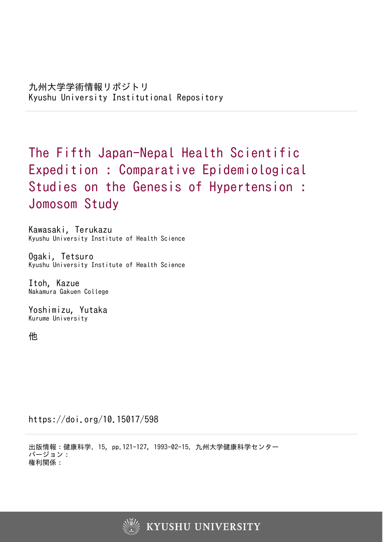The Fifth Japan-Nepal Health Scientific Expedition : Comparative Epidemiological Studies on the Genesis of Hypertension : Jomosom Study

Kawasaki, Terukazu Kyushu University Institute of Health Science

Ogaki, Tetsuro Kyushu University Institute of Health Science

Itoh, Kazue Nakamura Gakuen College

Yoshimizu, Yutaka Kurume University

他

https://doi.org/10.15017/598

出版情報:健康科学. 15, pp.121-127, 1993-02-15. 九州大学健康科学センター バージョン: 権利関係:

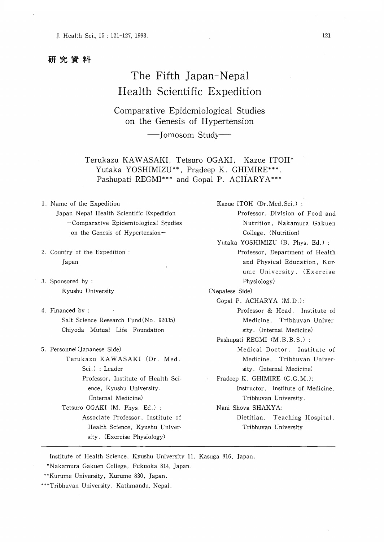## 研究資料

# The Fifth Japan-Nepal Health Scientific Expedition

Comparative Epidemiological Studies on the Genesis of Hypertension

-Jomosom Study-

Terukazu KAWASAKI, Tetsuro OGAKI, Kazue ITOH \* Yutaka YOSHIMIZU\*\*, Pradeep K. GHIMIRE\*\*\*, Pashupati REGMI\*\*\* and Gopal P. ACHARYA\*\*\*

- 1. Name of the Expedition Japan-Nepal Health Scientific Expedition -Comparative Epidemiological Studies on the Genesis of Hypertension-
- 2. Country of the Expedition : Japan
- 3. Sponsored by : Kyushu University
- 4. Financed by : Salt-Science Research Fund (No. 92035) Chiyoda Mutual Life Foundation
- 5. Personnel (Japanese Side) Terukazu KAWASAKI (Dr. Med. Sci.) : Leader Professor, Institute of Health Science, Kyushu University. (Internal Medicine) Tetsuro OGAKI (M. Phys. Ed.) : Associate Professor, Institute of Health Science, Kyushu University. (Exercise Physiology)

Professor, Division of Food and Nutrition, Nakamura Gakuen College. (Nutrition) Yutaka YOSHIMIZU (B. Phys. Ed.) : Professor, Department of Health and Physical Education, Kurume University. (Exercise Physiology) (Nepalese Side) Gopal P. ACHARYA (M.D.) Professor & Head, Institute of Medicine, Tribhuvan University. (Internal Medicine) Pashupati REGMI (M.B.B.S.) : Medical Doctor, Institute of Medicine, Tribhuvan University. (Internal Medicine) Pradeep K. GHIMIRE (C.G.M.): Instructor, Institute of Medicine, Tribhuvan University. Nani Shova SHAKYA: Dietitian, Teaching Hospital, Tribhuvan University

Kazue ITOH (Dr. Med. Sci.) :

Institute of Health Science, Kyushu University 11, Kasuga 816, Japan.

\*Nakamura Gakuen College, Fukuoka 814, Japan.

\*\*\*Tribhuvan University, Kathmandu, Nepal.

<sup>\*\*</sup>Kurume University, Kurume 830, Japan.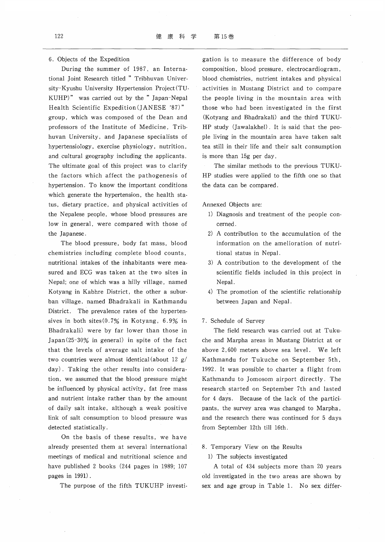tional Joint Research titled " Tribhuvan Univer- blood chemistries, nutrient intakes and physical sity-Kyushu University Hypertension Project(TU- ・ activities in Mustang District and to compare KUHP)" was carried out by the "Japan-Nepal the people living in the mountain area with Health Scientific Expedition (JANESE '87)" those who had been investigated in the first group, which was composed of the Dean and (Kotyang and Bhadrakali) and the third TUKUprofessors of the Institute of Medicine, Trib-<br>HP study (Jawalakhel). It is said that the peohuvan University, and Japanese specialists of ple living in the mountain area have taken salt hypertensiology, exercise physiology, nutrition, tea still in their life and their salt consumption and. cultural geography including the applicants. is more than 15g per day. The ultimate goal of this project was to clarify The similar methods to the previous TUKUthe factors which affect the pathogenesis of HP studies were applied to the fifth one so that hypertension. To know the important conditions the data can be compared. which generate the hypertension, the health sta tus, dietary practice, and physical activities of Annexed Objects are: the Nepalese people, whose blood pressures are 1) Diagnosis and treatment of the people conlow in general, were compared with those of cerned. the Japanese. 2) A contribution to the accumulation of the

chemistries including complete blood counts, tional status in Nepal. nutritional intakes of the inhabitants were mea- 3) A contribution to the development of the sured and ECG was taken at the two sites in scientific fields included in this project in Nepal; one of which was a hilly village, named Nepal. Kotyang in Kabhre District, the other a subur- 4) The promotion of the scientific relationship ban village, named Bhadrakali in Kathmandu between Japan and Nepal District. The prevalence rates of the hypertensives in both sites(0.7% in Kotyang, 6.9% in 7. Schedule of Survey Bhadrakali) were by far lower than those in The field research was carried out at Tuku-Japan (25-30% in general) in spite of the fact che and Marpha areas in Mustang District at or that the levels of average salt intake of the above 2,600 meters above sea level. We left two countries were almost identical (about 12  $g/$  Kathmandu for Tukuche on September 5th, day). Taking the other results into considera- 1992. It was possible to charter a flight from tion, we assumed that the blood pressure might Kathmandu to Jomosom airport directly. The be influenced by physical activity, fat free mass research. started on September 7th and lasted and nutrient intake rather than by the amount for 4 days. Because of the lack of the particiof daily salt intake, although a weak positive pants, the survey area was changed to Marpha, link of salt consumption to blood pressure was and the research there was continued for 5 days detected statistically. from September 12th till 16th.

On the basis of these results, we have already presented them at several international 8. Temporary View on the Results meetings of medical and nutritional science and 1) The subjects investigated have published 2 books (244 pages in 1989; 107 A total of 434 subjects more than 20 years pages in 1991). old investigated in the two areas are shown by

6. Objects of the Expedition gation is to measure the difference of body During the summer of 1987, an Interna- composition, blood pressure, electrocardiogram,

- 
- The blood pressure, body fat mass, blood information on the amelioration of nutri-
	-
	-
	-

- -

The purpose of the fifth TUKUHP investi-<br>sex and age group in Table 1. No sex differ-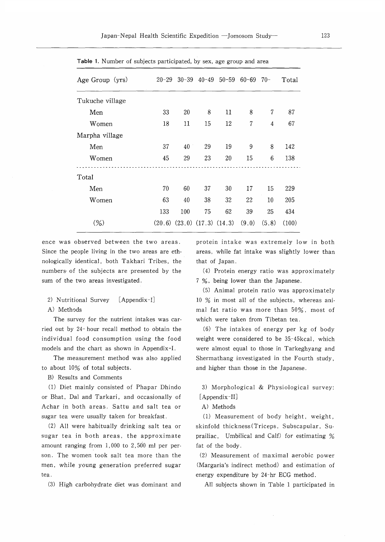| Age Group (yrs) |     |     |                                     | $20-29$ $30-39$ $40-49$ $50-59$ $60-69$ $70-$ |       |                | Total |
|-----------------|-----|-----|-------------------------------------|-----------------------------------------------|-------|----------------|-------|
| Tukuche village |     |     |                                     |                                               |       |                |       |
| Men             | 33  | 20  | 8                                   | 11                                            | 8     | 7              | 87    |
| Women           | 18  | 11  | 15                                  | 12                                            | 7     | $\overline{4}$ | 67    |
| Marpha village  |     |     |                                     |                                               |       |                |       |
| Men             | 37  | 40  | 29                                  | 19                                            | 9     | 8              | 142   |
| Women           | 45  | 29  | 23                                  | 20                                            | 15    | 6              | 138   |
| Total           |     |     |                                     |                                               |       |                |       |
| Men             | 70  | 60  | 37                                  | 30                                            | 17    | 15             | 229   |
| Women           | 63  | 40  | 38                                  | 32                                            | 22    | 10             | 205   |
|                 | 133 | 100 | 75                                  | 62                                            | 39    | 25             | 434   |
| $(\%)$          |     |     | $(20.6)$ $(23.0)$ $(17.3)$ $(14.3)$ |                                               | (9.0) | (5.8)          | (100) |
|                 |     |     |                                     |                                               |       |                |       |

Table 1. Number of subjects participated, by sex, age group and area

ence was observed between the two areas. protein intake was extremely low in both Since the people living in the two areas are eth- areas, while fat intake was slightly lower than nologically identical, both Takhari Tribes, the that of Japan. numbers of the subjects are presented by the (4) Protein energy ratio was approximately sum of the two areas investigated. The mass is a 7 %, being lower than the Japanese.

- 
- 

The survey for the nutrient intakes was car- which were taken from Tibetan tea. ried out by 24-hour recall method to obtain the (6) The intakes of energy per kg of body individual food consumption using the food weight were considered to be 35.-45kcal, which models and the chart as shown in Appendix-I. were almost equal to those in Tarkeghyang and

to about 10% of total subjects. The same in the Manuscus and higher than those in the Japanese.

B) Results and Comments

or Bhat, Dal and Tarkari, and occasionally of [Appendix-II] Achar in both areas. Sattu and salt tea or A) Methods sugar tea were usually taken for breakfast. (1) Measurement of body height, weight,

sugar tea in both areas, the approximate prailiac, Umbilical and Calf) for estimating  $%$ amount ranging from 1,000 to 2,500 ml per per- fat of the body. son. The women took salt tea more than the (2) Measurement of maximal aerobic power men, while young generation preferred sugar (Margaria's indirect method) and estimation of tea. energy expenditure by 24-hr ECG method.

(3) High carbohydrate diet was dominant and All subjects shown in Table 1 participated in

(5) Animal protein ratio was approximately 2) Nutritional Survey [Appendix-I] 10 % in most all of the subjects, whereas ani-A) Methods mal fat ratio was more than 50%, most of

The measurement method was also applied Shermathang investigated in the Fourth study,

(1) Diet mainly consisted of Phapar Dhindo 3) Morphological & Physiological survey:

(2) All were habitually drinking salt tea or skinfold thickness (Triceps, Subscapular, Su-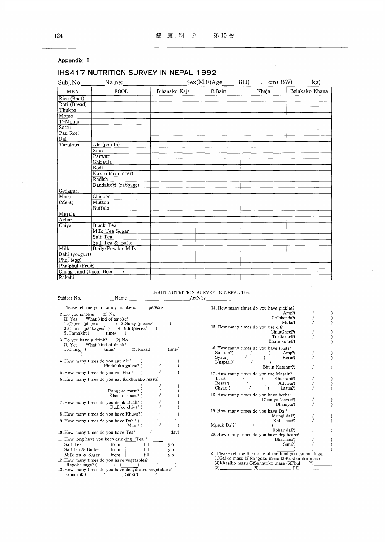Appendix I

|                        | IHS417 NUTRITION SURVEY IN NEPAL 1992 |               |                               |       |                       |
|------------------------|---------------------------------------|---------------|-------------------------------|-------|-----------------------|
| Subj.No.               | __ ____ Name:_                        |               | $Sex(M.F)Age$ BH( cm) BW( kg) |       |                       |
| <b>MENU</b>            | FOOD                                  | Bihanako Kaja | <b>B.Baht</b>                 | Khaja | Belukako Khana        |
| Rice (Bhat)            |                                       |               |                               |       |                       |
| Roti (Bread)           |                                       |               |                               |       |                       |
| Thukpa                 |                                       |               |                               |       |                       |
| Momo                   |                                       |               |                               |       |                       |
| T-Momo                 |                                       |               |                               |       |                       |
| Sattu                  |                                       |               |                               |       |                       |
| Pau Roti               |                                       |               |                               |       |                       |
| Dal                    |                                       |               |                               |       |                       |
| Tarukari               | Alu (potato)                          |               |                               |       | $\cdot$               |
|                        | Simi                                  |               |                               |       |                       |
|                        | Parwar                                |               |                               |       |                       |
|                        | Ghiraula                              |               |                               |       |                       |
|                        | Bodi                                  |               |                               |       |                       |
|                        | Kakro (cucumber)                      |               |                               |       |                       |
|                        | Radish                                |               |                               |       |                       |
|                        | Bandakobi (cabbage)                   |               |                               |       |                       |
| Gedaguri               |                                       |               |                               |       |                       |
| Masu                   | Chicken                               |               |                               |       |                       |
| (Meat)                 | Mutton                                |               |                               |       |                       |
|                        | Buffalo                               |               |                               |       |                       |
| Masala                 |                                       |               |                               |       |                       |
| Achar                  |                                       |               |                               |       |                       |
| Chiya                  | <b>Black Tea</b>                      |               |                               |       |                       |
|                        | Milk Tea Sugar                        |               |                               |       |                       |
|                        | Salt Tea                              |               |                               |       |                       |
|                        | Salt Tea & Butter                     |               |                               |       |                       |
| Milk                   | Daily/Powder Milk                     |               |                               |       |                       |
| Dahi (yougurt)         |                                       |               |                               |       |                       |
| Phul (egg)             |                                       |               |                               |       |                       |
| Phalphul (Fruit)       |                                       |               |                               |       |                       |
| Chang Jand (Local Beer |                                       |               |                               |       | $\tilde{\phantom{a}}$ |
| Rakshi                 |                                       |               |                               |       |                       |

## IHS417 NUTRITION SURVEY IN NEPAL 1992 Activity

| 1. Please tell me your family numbers.<br>persons                                                                                                                        |                   |
|--------------------------------------------------------------------------------------------------------------------------------------------------------------------------|-------------------|
| 2. Do vou smoke? (2) No<br>(1) Yes What kind of smoke?<br>1. Churot (pieces/ ) 2. Surty (pieces/<br>3. Churot (packages/) 4. Bidi (pieces/<br>-1<br>5. Tamakhu(<br>time/ |                   |
| 3. Do you have a drink? $(2)$ No<br>(1) Yes What kind of drink?<br>2. Raksi(<br>time/<br>1. Chang<br>$\left($                                                            | time/             |
| 4. How many times do you eat Alu?<br>1<br>Pindaluko gabha? (                                                                                                             |                   |
| 5. How many times do you eat Phul?                                                                                                                                       |                   |
| 6. How many times do you eat Kukhurako masu?                                                                                                                             |                   |
| Rangoko masu? (<br>Khasiko masu? (                                                                                                                                       |                   |
| 7. How many times do you drink Dudh? (<br>Dudhko chiva? (                                                                                                                |                   |
| 8. How many times do you have Khuva? (                                                                                                                                   |                   |
| 9. How many times do you have Dahi? (<br>Mahi? (                                                                                                                         |                   |
| 10. How many times do you have Tea?                                                                                                                                      | day)              |
| 11. How long have you been drinking "Tea"?<br>Salt Tea<br>from<br>till<br>Salt tea & Butter<br>till<br>from<br>Milk tea & Suger<br>till<br>from                          | y.o<br>y.o<br>y.o |
| 12. How many times do you have vegetables?<br>Rayoko saga? (                                                                                                             |                   |
| 13. How many times do you have dehydrated vegetables?<br>Gundruk?(<br>) Sinki?(                                                                                          |                   |

Subject No. Name

 $\sim$   $\sim$ 

 $\mathcal{A}^{\mathcal{A}}$ 

| 14. How many times do you have pickles?<br>Amp?(<br>Golbhenda?(<br>Mula?(                                                                                                            |  |
|--------------------------------------------------------------------------------------------------------------------------------------------------------------------------------------|--|
| 15. How many times do you use oil?<br>Ghiu(Ghee)?(<br>Toriko tel?(<br>Bhatmas tel?(                                                                                                  |  |
| 16. How many times do you have fruits?<br>Suntala?(<br>Amp?(<br>Svau?(<br>Kera?(<br>1<br>Naspati?(                                                                                   |  |
| Bhuin Katahar?(                                                                                                                                                                      |  |
| 17. How many times do you use Masala?<br>Jira?(<br>Khursani?(<br>Besar?(<br>Aduwa?(<br>Υ<br>Chvapi?(<br>Lasun?(                                                                      |  |
| 18. How many times do you have herba?<br>Dhaniya leaves?(<br>Dhaniya?(                                                                                                               |  |
| 19. How many times do you have Dal?<br>Mungi dal?(<br>Kalo mas?(<br>Musuk Dal?(                                                                                                      |  |
| Rohar dal?(<br>20. How many times do you have dry beans?                                                                                                                             |  |
| Bhatmas?(<br>Simi?(                                                                                                                                                                  |  |
| 21. Please tell me the name of the food you cannot take.<br>(1)Gaiko masu (2)Rangoko masu (3)Kukhurako masu<br>(4)Khasiko masu (5)Sangurko mase (6)Phul<br>(7)<br>(8)<br>(9)<br>(10) |  |

 $\mathcal{A}^{\mathcal{A}}$ 

 $\hat{\boldsymbol{\beta}}$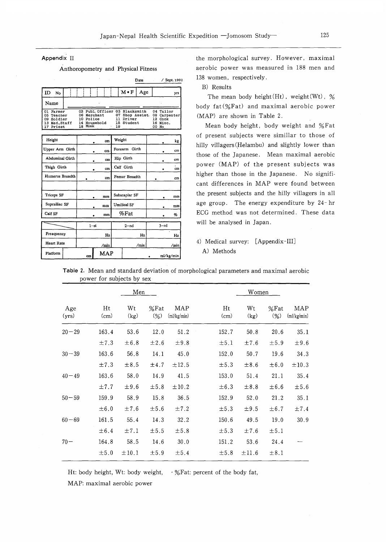Appendix II

### Anthoropometry and Physical Fitness

Date / Sept. 1992

|              | No     |  |              |  |    | $M \cdot F$                    | Age             | yrs          |
|--------------|--------|--|--------------|--|----|--------------------------------|-----------------|--------------|
| Name         |        |  |              |  |    |                                |                 |              |
| 01 Farmer    |        |  |              |  |    | 02 Publ. Officer 03 Blacksmith |                 | 04 Tailor    |
| 05 Teacher   |        |  | 06 Merchant  |  |    |                                | 07 Shop Assist. | 08 Carpenter |
| 09 Soldier   |        |  | 10 Police    |  |    | 11 Driver                      |                 | 12 Cook      |
| 13 Med.Staff |        |  | 14 Household |  |    | 15 Student                     |                 | 16 Misc.     |
| 17           | Priest |  | 18 Monk      |  | 19 |                                |                 | 00 No        |

| Height            |    | cm         |               | Weight             |  |        | kg        |
|-------------------|----|------------|---------------|--------------------|--|--------|-----------|
| Upper Arm Girth   | cm |            | Forearm       | Girth              |  |        | $cm$      |
| Abdominal Girth   |    | cm         |               | Hip Girth          |  |        | cm        |
| Thigh Girth       |    | cm         |               | Calf Girth         |  |        | cm        |
| Humerus Breadth   |    | cm         |               | Femur Breadth      |  |        | cm        |
|                   |    |            |               |                    |  |        |           |
| Triceps SF        |    | mm         | Subscaplar SF |                    |  |        | mm        |
| Suprailiac SF     |    | mm         |               | <b>Umilical SF</b> |  |        | mm        |
| Calf SF           |    | mm         | $%$ Fat       |                    |  |        | %         |
|                   |    | $1 - st$   |               | $2 - nd$           |  | $3-rd$ |           |
| Freaquency        |    | Hz         | Hz            |                    |  |        | Hz        |
| <b>Heart Rate</b> |    | /min       | /min          |                    |  |        | /min      |
| Platform          | cm | <b>MAP</b> |               |                    |  |        | ml/kg/min |

the morphological survey. However, maximal aerobic power was measured in 188 men and 138 women, respectively.

B) Results

The mean body height  $(Ht)$ , weight  $(Wt)$ , % body fat(%Fat) and maximal aerobic power (MAP) are shown in Table 2.

Mean body height, body weight and %Fat of present subjects were simillar to those of hilly villagers (Helambu) and slightly lower than those of the Japanese. Mean maximal aerobic power (MAP) of the present subjects was higher than those in the Japanese. No significant differences in MAP were found between the present subjects and the hilly villagers in all age group. The energy expenditure by 24-hr ECG method was not determined. These data will be analysed in Japan.

4) Medical survey: [Appendix-III] A) Methods

|              |            | Men        |                 |                    | Women      |            |                 |                    |  |  |  |
|--------------|------------|------------|-----------------|--------------------|------------|------------|-----------------|--------------------|--|--|--|
| Age<br>(yrs) | Ht<br>(cm) | Wt<br>(kg) | $%$ Fat<br>(96) | MAP<br>(ml/kg/min) | Ht<br>(cm) | Wt<br>(kg) | $%$ Fat<br>(% ) | MAP<br>(ml/kg/min) |  |  |  |
| $20 - 29$    | 163.4      | 53.6       | 12.0            | 51.2               | 152.7      | 50.8       | 20.6            | 35.1               |  |  |  |
|              | ±7.3       | $\pm 6.8$  | $\pm 2.6$       | ±9.8               | ±5.1       | ±7.6       | $\pm 5.9$       | ±9.6               |  |  |  |
| $30 - 39$    | 163.6      | 56.8       | 14.1            | 45.0               | 152.0      | 50.7       | 19.6            | 34.3               |  |  |  |
|              | ±7.3       | ±8.5       | ±4.7            | $\pm 12.5$         | ±5.3       | $\pm 8.6$  | $\pm 6.0$       | $\pm 10.3$         |  |  |  |
| $40 - 49$    | 163.6      | 58.0       | 14.9            | 41.5               | 153.0      | 51.4       | 21.1            | 35.4               |  |  |  |
|              | $\pm 7.7$  | $\pm 9.6$  | $\pm 5.8$       | ±10.2              | $\pm 6.3$  | $\pm 8.8$  | $\pm 6.6$       | ±5.6               |  |  |  |
| $50 - 59$    | 159.9      | 58.9       | 15.8            | 36.5               | 152.9      | 52.0       | 21.2            | 35.1               |  |  |  |
|              | $\pm 6.0$  | ±7.6       | $\pm 5.6$       | ±7.2               | ±5.3       | $\pm 9.5$  | $\pm 6.7$       | ±7.4               |  |  |  |
| $60 - 69$    | 161.5      | 55.4       | 14.3            | 32.2               | 150.6      | 49.5       | 19.0            | 30.9               |  |  |  |
|              | ± 6.4      | ±7.1       | ±5.5            | ±5.8               | ±5.3       | ±7.6       | ±5.1            |                    |  |  |  |
| $70 -$       | 164.8      | 58.5       | 14.6            | 30.0               | 151.2      | 53.6       | 24.4            |                    |  |  |  |
|              | ±5.0       | ±10.1      | ±5.9            | ±5.4               | ±5.8       | $\pm 11.6$ | $\pm 8.1$       |                    |  |  |  |

Table 2. Mean and standard deviation of morphological parameters and maximal aerobic power for subjects by sex

Ht: body height, Wt: body weight,  $\cdot$ %Fat: percent of the body fat,

MAP: maximal aerobic power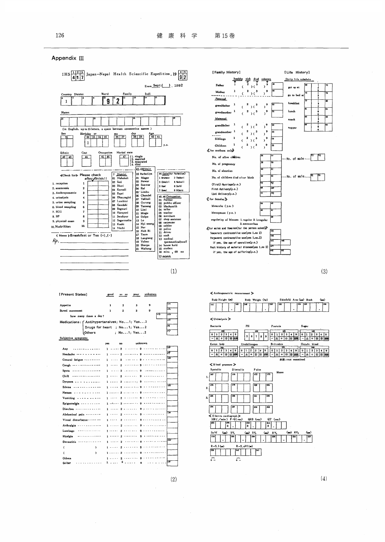

### Appendix III

(3)

Occult blood